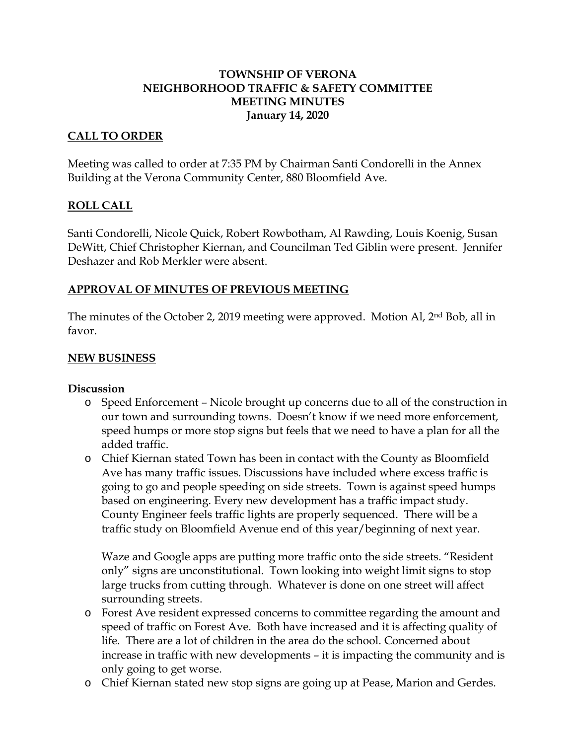# **TOWNSHIP OF VERONA NEIGHBORHOOD TRAFFIC & SAFETY COMMITTEE MEETING MINUTES January 14, 2020**

## **CALL TO ORDER**

Meeting was called to order at 7:35 PM by Chairman Santi Condorelli in the Annex Building at the Verona Community Center, 880 Bloomfield Ave.

## **ROLL CALL**

Santi Condorelli, Nicole Quick, Robert Rowbotham, Al Rawding, Louis Koenig, Susan DeWitt, Chief Christopher Kiernan, and Councilman Ted Giblin were present. Jennifer Deshazer and Rob Merkler were absent.

## **APPROVAL OF MINUTES OF PREVIOUS MEETING**

The minutes of the October 2, 2019 meeting were approved. Motion Al, 2nd Bob, all in favor.

#### **NEW BUSINESS**

#### **Discussion**

- o Speed Enforcement Nicole brought up concerns due to all of the construction in our town and surrounding towns. Doesn't know if we need more enforcement, speed humps or more stop signs but feels that we need to have a plan for all the added traffic.
- o Chief Kiernan stated Town has been in contact with the County as Bloomfield Ave has many traffic issues. Discussions have included where excess traffic is going to go and people speeding on side streets. Town is against speed humps based on engineering. Every new development has a traffic impact study. County Engineer feels traffic lights are properly sequenced. There will be a traffic study on Bloomfield Avenue end of this year/beginning of next year.

Waze and Google apps are putting more traffic onto the side streets. "Resident only" signs are unconstitutional. Town looking into weight limit signs to stop large trucks from cutting through. Whatever is done on one street will affect surrounding streets.

- o Forest Ave resident expressed concerns to committee regarding the amount and speed of traffic on Forest Ave. Both have increased and it is affecting quality of life. There are a lot of children in the area do the school. Concerned about increase in traffic with new developments – it is impacting the community and is only going to get worse.
- o Chief Kiernan stated new stop signs are going up at Pease, Marion and Gerdes.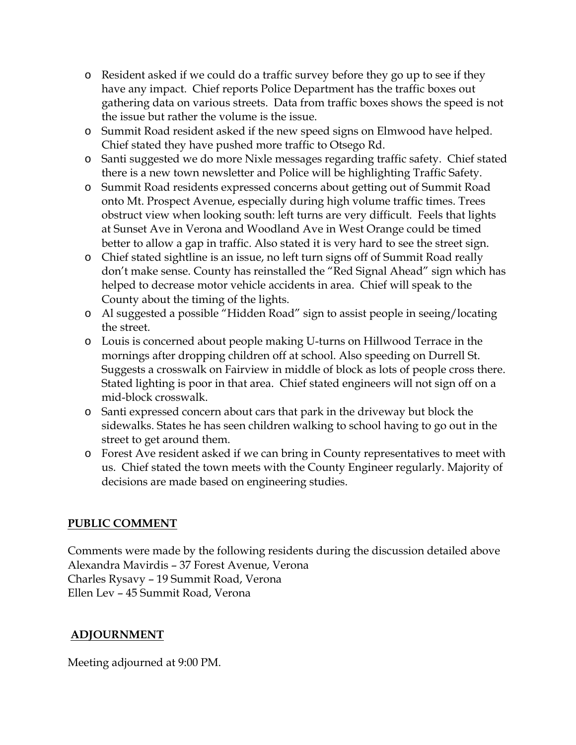- o Resident asked if we could do a traffic survey before they go up to see if they have any impact. Chief reports Police Department has the traffic boxes out gathering data on various streets. Data from traffic boxes shows the speed is not the issue but rather the volume is the issue.
- o Summit Road resident asked if the new speed signs on Elmwood have helped. Chief stated they have pushed more traffic to Otsego Rd.
- o Santi suggested we do more Nixle messages regarding traffic safety. Chief stated there is a new town newsletter and Police will be highlighting Traffic Safety.
- o Summit Road residents expressed concerns about getting out of Summit Road onto Mt. Prospect Avenue, especially during high volume traffic times. Trees obstruct view when looking south: left turns are very difficult. Feels that lights at Sunset Ave in Verona and Woodland Ave in West Orange could be timed better to allow a gap in traffic. Also stated it is very hard to see the street sign.
- o Chief stated sightline is an issue, no left turn signs off of Summit Road really don't make sense. County has reinstalled the "Red Signal Ahead" sign which has helped to decrease motor vehicle accidents in area. Chief will speak to the County about the timing of the lights.
- o Al suggested a possible "Hidden Road" sign to assist people in seeing/locating the street.
- o Louis is concerned about people making U-turns on Hillwood Terrace in the mornings after dropping children off at school. Also speeding on Durrell St. Suggests a crosswalk on Fairview in middle of block as lots of people cross there. Stated lighting is poor in that area. Chief stated engineers will not sign off on a mid-block crosswalk.
- o Santi expressed concern about cars that park in the driveway but block the sidewalks. States he has seen children walking to school having to go out in the street to get around them.
- o Forest Ave resident asked if we can bring in County representatives to meet with us. Chief stated the town meets with the County Engineer regularly. Majority of decisions are made based on engineering studies.

# **PUBLIC COMMENT**

Comments were made by the following residents during the discussion detailed above Alexandra Mavirdis – 37 Forest Avenue, Verona Charles Rysavy – 19 Summit Road, Verona Ellen Lev – 45 Summit Road, Verona

# **ADJOURNMENT**

Meeting adjourned at 9:00 PM.